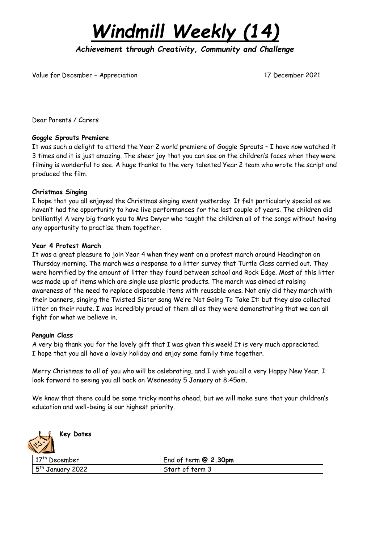

*Achievement through Creativity, Community and Challenge* 

Value for December - Appreciation 17 December 2021

Dear Parents / Carers

### **Goggle Sprouts Premiere**

It was such a delight to attend the Year 2 world premiere of Goggle Sprouts – I have now watched it 3 times and it is just amazing. The sheer joy that you can see on the children's faces when they were filming is wonderful to see. A huge thanks to the very talented Year 2 team who wrote the script and produced the film.

#### **Christmas Singing**

I hope that you all enjoyed the Christmas singing event yesterday. It felt particularly special as we haven't had the opportunity to have live performances for the last couple of years. The children did brilliantly! A very big thank you to Mrs Dwyer who taught the children all of the songs without having any opportunity to practise them together.

#### **Year 4 Protest March**

It was a great pleasure to join Year 4 when they went on a protest march around Headington on Thursday morning. The march was a response to a litter survey that Turtle Class carried out. They were horrified by the amount of litter they found between school and Rock Edge. Most of this litter was made up of items which are single use plastic products. The march was aimed at raising awareness of the need to replace disposable items with reusable ones. Not only did they march with their banners, singing the Twisted Sister song We're Not Going To Take It: but they also collected litter on their route. I was incredibly proud of them all as they were demonstrating that we can all fight for what we believe in.

#### **Penguin Class**

A very big thank you for the lovely gift that I was given this week! It is very much appreciated. I hope that you all have a lovely holiday and enjoy some family time together.

Merry Christmas to all of you who will be celebrating, and I wish you all a very Happy New Year. I look forward to seeing you all back on Wednesday 5 January at 8:45am.

We know that there could be some tricky months ahead, but we will make sure that your children's education and well-being is our highest priority.



# **Key Dates**

| $17th$ December    | End of term $@$ 2.30pm |
|--------------------|------------------------|
| $5th$ January 2022 | Start of term 3        |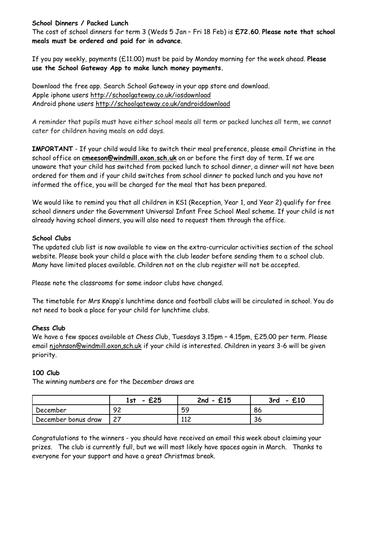## **School Dinners / Packed Lunch**

The cost of school dinners for term 3 (Weds 5 Jan – Fri 18 Feb) is **£72.60**. **Please note that school meals must be ordered and paid for in advance**.

If you pay weekly, payments (£11.00) must be paid by Monday morning for the week ahead. **Please use the School Gateway App to make lunch money payments.**

Download the free app. Search School Gateway in your app store and download. Apple iphone users <http://schoolgateway.co.uk/iosdownload> Android phone users <http://schoolgateway.co.uk/androiddownload>

A reminder that pupils must have either school meals all term or packed lunches all term, we cannot cater for children having meals on odd days.

**IMPORTANT** - If your child would like to switch their meal preference, please email Christine in the school office on **[cmeeson@windmill.oxon.sch.uk](mailto:cmeeson@windmill.oxon.sch.uk)** on or before the first day of term. If we are unaware that your child has switched from packed lunch to school dinner, a dinner will not have been ordered for them and if your child switches from school dinner to packed lunch and you have not informed the office, you will be charged for the meal that has been prepared.

We would like to remind you that all children in KS1 (Reception, Year 1, and Year 2) qualify for free school dinners under the Government Universal Infant Free School Meal scheme. If your child is not already having school dinners, you will also need to request them through the office.

### **School Clubs**

The updated club list is now available to view on the extra-curricular activities section of the school website. Please book your child a place with the club leader before sending them to a school club. Many have limited places available. Children not on the club register will not be accepted.

Please note the classrooms for some indoor clubs have changed.

The timetable for Mrs Knapp's lunchtime dance and football clubs will be circulated in school. You do not need to book a place for your child for lunchtime clubs.

### **Chess Club**

We have a few spaces available at Chess Club, Tuesdays 3.15pm – 4.15pm, £25.00 per term. Please email [njohnson@windmill.oxon,sch.uk](mailto:njohnson@windmill.oxon,sch.uk) if your child is interested. Children in years 3-6 will be given priority.

### **100 Club**

The winning numbers are for the December draws are

|                     | £25<br>1st<br>$\qquad \qquad$ | $2nd - £15$ | £10<br>3rd<br>$\overline{\phantom{0}}$ |
|---------------------|-------------------------------|-------------|----------------------------------------|
| December            | റാ<br>╯ –                     | 59          | 86                                     |
| December bonus draw | っっ<br>ر ے                     | 112<br>ᆠᆠᆮ  | 36                                     |

Congratulations to the winners - you should have received an email this week about claiming your prizes. The club is currently full, but we will most likely have spaces again in March. Thanks to everyone for your support and have a great Christmas break.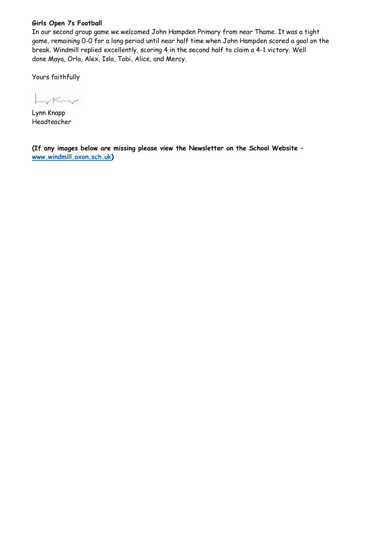## **Girls Open 7s Football**

In our second group game we welcomed John Hampden Primary from near Thame. It was a tight game, remaining 0-0 for a long period until near half time when John Hampden scored a goal on the break. Windmill replied excellently, scoring 4 in the second half to claim a 4-1 victory. Well done Maya, Orla, Alex, Isla, Tobi, Alice, and Mercy.

Yours faithfully

Lokner

Lynn Knapp Headteacher

**(If any images below are missing please view the Newsletter on the School Website – [www.windmill.oxon.sch.uk\)](http://www.windmill.oxon.sch.uk/)**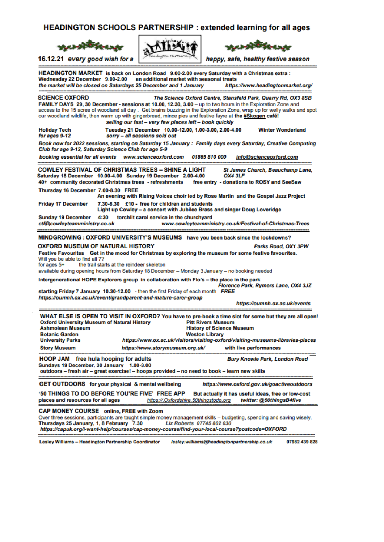#### **HEADINGTON SCHOOLS PARTNERSHIP: extended learning for all ages**



16.12.21 every good wish for a





happy, safe, healthy festive season

HEADINGTON MARKET is back on London Road 9.00-2.00 every Saturday with a Christmas extra : Wednesday 22 December 9.00-2.00 an additional market with seasonal treats the market will be closed on Saturdays 25 December and 1 January https://www.headingtonmarket.org/ **SCIENCE OXFORD** The Science Oxford Centre, Stansfeld Park, Quarry Rd, OX3 8SB FAMILY DAYS 29, 30 December - sessions at 10.00, 12.30, 3.00 - up to two hours in the Exploration Zone and access to the 15 acres of woodland all day. Get brains buzzing in the Exploration Zone, wrap up for welly walks and spot our woodland wildlife, then warm up with gingerbread, mince pies and festive fayre at the #Skogen café! selling our fast - very few places left - book quickly Tuesday 21 December 10.00-12.00, 1.00-3.00, 2.00-4.00 **Holiday Tech Winter Wonderland** sorry - all sessions sold out for ages 9-12 Book now for 2022 sessions, starting on Saturday 15 January : Family days every Saturday, Creative Computing Club for age 9-12, Saturday Science Club for age 5-9 booking essential for all events www.scienceoxford.com 01865 810 000 info@scienceoxford.com **COWLEY FESTIVAL OF CHRISTMAS TREES - SHINE A LIGHT** St James Church, Beauchamp Lane, Saturday 18 December 10.00-4.00 Sunday 19 December 2.00-4.00 OX4 3LF 40+ community decorated Christmas trees - refreshments free entry - donations to ROSY and SeeSaw Thursday 16 December 7.00-8.30 FREE An evening with Rising Voices choir led by Rose Martin and the Gospel Jazz Project 7.30-8.30 £10 - free for children and students **Friday 17 December** Light up Cowley - a concert with Jubilee Brass and singer Doug Loveridge Sunday 19 December 4:30 torchlit carol service in the churchvard ctf@cowleyteamministry.co.uk www.cowleyteamministry.co.uk/Festival-of-Christmas-Trees MINDGROWING : OXFORD UNIVERSITY'S MUSEUMS have you been back since the lockdowns? **OXFORD MUSEUM OF NATURAL HISTORY** Parks Road, OX1 3PW Festive Favourites Get in the mood for Christmas by exploring the museum for some festive favourites. Will you be able to find all 7? for ages 5+ the trail starts at the reindeer skeleton available during opening hours from Saturday 18 December - Monday 3 January - no booking needed Intergenerational HOPE Explorers group in collaboration with Flo's - the place in the park Florence Park, Rymers Lane, OX4 3JZ starting Friday 7 January 10.30-12.00 - then the first Friday of each month FREE https://oumnh.ox.ac.uk/event/grandparent-and-mature-carer-group https://oumnh.ox.ac.uk/events WHAT ELSE IS OPEN TO VISIT IN OXFORD? You have to pre-book a time slot for some but they are all open! **Pitt Rivers Museum Oxford University Museum of Natural History Ashmolean Museum History of Science Museum Botanic Garden Weston Library University Parks** https://www.ox.ac.uk/visitors/visiting-oxford/visiting-museums-libraries-places **Story Museum** https://www.storymuseum.org.uk/ with live performances HOOP JAM free hula hooping for adults **Bury Knowle Park, London Road** Sundays 19 December, 30 January 1.00-3.00 outdoors - fresh air - great exercise! - hoops provided - no need to book - learn new skills GET OUTDOORS for your physical & mental wellbeing https://www.oxford.gov.uk/goactiveoutdoors '50 THINGS TO DO BEFORE YOU'RE FIVE' FREE APP But actually it has useful ideas, free or low-cost places and resources for all ages https://.Oxfordshire.50thingstodo.org twitter: @50thingsB4five CAP MONEY COURSE online, FREE with Zoom Over three sessions, participants are taught simple money management skills - budgeting, spending and saving wisely. Thursdays 25 January, 1, 8 February 7.30 Liz Roberts 07745 802 030 https://capuk.org/i-want-help/courses/cap-money-course/find-your-local-course?postcode=OXFORD

Lesley Williams - Headington Partnership Coordinator lesley.williams@headingtonpartnership.co.uk 07982 439 828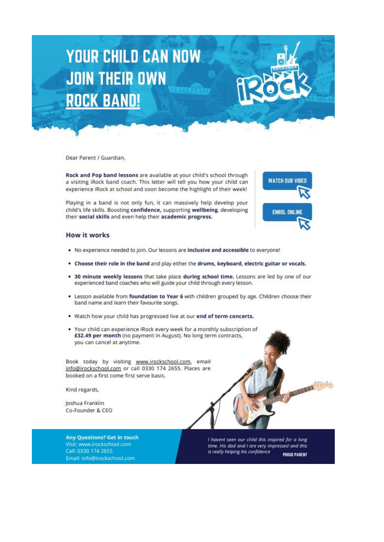# **YOUR CHILD CAN NOW JOIN THEIR OWN ROCK BAND!**

Dear Parent / Guardian.

Rock and Pop band lessons are available at your child's school through a visiting iRock band coach. This letter will tell you how your child can experience iRock at school and soon become the highlight of their week!

Playing in a band is not only fun, it can massively help develop your child's life skills. Boosting confidence, supporting wellbeing, developing their social skills and even help their academic progress.



#### **How it works**

- . No experience needed to join. Our lessons are inclusive and accessible to everyone!
- . Choose their role in the band and play either the drums, keyboard, electric guitar or vocals.
- . 30 minute weekly lessons that take place during school time. Lessons are led by one of our experienced band coaches who will guide your child through every lesson.
- . Lesson available from foundation to Year 6 with children grouped by age. Children choose their band name and learn their favourite songs.
- . Watch how your child has progressed live at our end of term concerts.
- . Your child can experience iRock every week for a monthly subscription of £32.49 per month (no payment in August). No long term contracts, you can cancel at anytime.

Book today by visiting www.irockschool.com, email info@irockschool.com or call 0330 174 2655. Places are booked on a first come first serve basis.

Kind regards,

Joshua Franklin Co-Founder & CEO



I havent seen our child this inspired for a long time. His dad and I are very impressed and this is really helping his confidence

PROUD PARENT

MESSAGE COMPANY